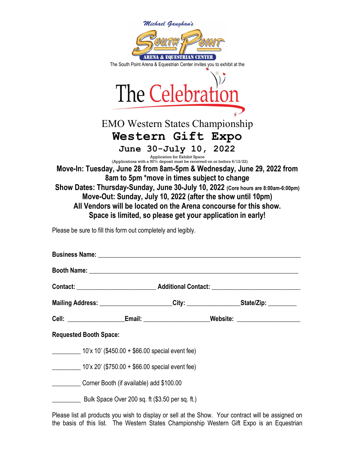| Michael Gaughan's<br>ARENA & EQUESTRIAN CENTER<br>The South Point Arena & Equestrian Center invites you to exhibit at the<br>The Celebration<br><b>EMO Western States Championship</b><br><b>Western Gift Expo</b> |                                                                                                          |                                                                                      |
|--------------------------------------------------------------------------------------------------------------------------------------------------------------------------------------------------------------------|----------------------------------------------------------------------------------------------------------|--------------------------------------------------------------------------------------|
|                                                                                                                                                                                                                    | June 30-July 10, 2022                                                                                    |                                                                                      |
|                                                                                                                                                                                                                    | Application for Exhibit Space<br>(Applications with a 50% deposit must be received on or before 6/12/22) |                                                                                      |
|                                                                                                                                                                                                                    |                                                                                                          | Move-In: Tuesday, June 28 from 8am-5pm & Wednesday, June 29, 2022 from               |
| 8am to 5pm *move in times subject to change<br>Show Dates: Thursday-Sunday, June 30-July 10, 2022 (Core hours are 8:00am-6:00pm)                                                                                   |                                                                                                          |                                                                                      |
|                                                                                                                                                                                                                    | Move-Out: Sunday, July 10, 2022 (after the show until 10pm)                                              |                                                                                      |
|                                                                                                                                                                                                                    | All Vendors will be located on the Arena concourse for this show.                                        |                                                                                      |
|                                                                                                                                                                                                                    | Space is limited, so please get your application in early!                                               |                                                                                      |
|                                                                                                                                                                                                                    |                                                                                                          |                                                                                      |
| Please be sure to fill this form out completely and legibly.                                                                                                                                                       |                                                                                                          |                                                                                      |
| <b>Business Name:</b>                                                                                                                                                                                              |                                                                                                          |                                                                                      |
|                                                                                                                                                                                                                    |                                                                                                          |                                                                                      |
| <b>Booth Name:</b>                                                                                                                                                                                                 |                                                                                                          |                                                                                      |
|                                                                                                                                                                                                                    |                                                                                                          |                                                                                      |
|                                                                                                                                                                                                                    |                                                                                                          | Mailing Address: _______________________City: __________________State/Zip: _________ |
|                                                                                                                                                                                                                    |                                                                                                          | Cell: ____________________Email: _______________________Website: _______________     |
| <b>Requested Booth Space:</b>                                                                                                                                                                                      |                                                                                                          |                                                                                      |
| $\frac{10^{6} \times 10^{6} (1450.00 + $66.00)}{2}$ special event fee)                                                                                                                                             |                                                                                                          |                                                                                      |
|                                                                                                                                                                                                                    |                                                                                                          |                                                                                      |
|                                                                                                                                                                                                                    | $\frac{10^{10}x}{20^{10}x^{20}}$ (\$750.00 + \$66.00 special event fee)                                  |                                                                                      |

\_\_\_\_\_\_\_\_\_ Corner Booth (if available) add \$100.00

**LECCCL** Bulk Space Over 200 sq. ft (\$3.50 per sq. ft.)

Please list all products you wish to display or sell at the Show. Your contract will be assigned on the basis of this list. The Western States Championship Western Gift Expo is an Equestrian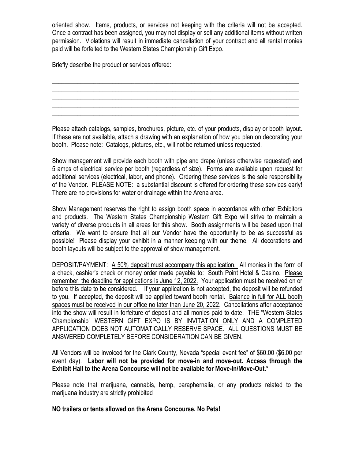oriented show. Items, products, or services not keeping with the criteria will not be accepted. Once a contract has been assigned, you may not display or sell any additional items without written permission. Violations will result in immediate cancellation of your contract and all rental monies paid will be forfeited to the Western States Championship Gift Expo.

\_\_\_\_\_\_\_\_\_\_\_\_\_\_\_\_\_\_\_\_\_\_\_\_\_\_\_\_\_\_\_\_\_\_\_\_\_\_\_\_\_\_\_\_\_\_\_\_\_\_\_\_\_\_\_\_\_\_\_\_\_\_\_\_\_\_\_\_\_\_\_\_\_\_\_\_\_\_ \_\_\_\_\_\_\_\_\_\_\_\_\_\_\_\_\_\_\_\_\_\_\_\_\_\_\_\_\_\_\_\_\_\_\_\_\_\_\_\_\_\_\_\_\_\_\_\_\_\_\_\_\_\_\_\_\_\_\_\_\_\_\_\_\_\_\_\_\_\_\_\_\_\_\_\_\_\_ \_\_\_\_\_\_\_\_\_\_\_\_\_\_\_\_\_\_\_\_\_\_\_\_\_\_\_\_\_\_\_\_\_\_\_\_\_\_\_\_\_\_\_\_\_\_\_\_\_\_\_\_\_\_\_\_\_\_\_\_\_\_\_\_\_\_\_\_\_\_\_\_\_\_\_\_\_\_ \_\_\_\_\_\_\_\_\_\_\_\_\_\_\_\_\_\_\_\_\_\_\_\_\_\_\_\_\_\_\_\_\_\_\_\_\_\_\_\_\_\_\_\_\_\_\_\_\_\_\_\_\_\_\_\_\_\_\_\_\_\_\_\_\_\_\_\_\_\_\_\_\_\_\_\_\_\_

Briefly describe the product or services offered:

Please attach catalogs, samples, brochures, picture, etc. of your products, display or booth layout. If these are not available, attach a drawing with an explanation of how you plan on decorating your booth. Please note: Catalogs, pictures, etc., will not be returned unless requested.

Show management will provide each booth with pipe and drape (unless otherwise requested) and 5 amps of electrical service per booth (regardless of size). Forms are available upon request for additional services (electrical, labor, and phone). Ordering these services is the sole responsibility of the Vendor. PLEASE NOTE: a substantial discount is offered for ordering these services early! There are no provisions for water or drainage within the Arena area.

Show Management reserves the right to assign booth space in accordance with other Exhibitors and products. The Western States Championship Western Gift Expo will strive to maintain a variety of diverse products in all areas for this show. Booth assignments will be based upon that criteria. We want to ensure that all our Vendor have the opportunity to be as successful as possible! Please display your exhibit in a manner keeping with our theme. All decorations and booth layouts will be subject to the approval of show management.

DEPOSIT/PAYMENT: A 50% deposit must accompany this application. All monies in the form of a check, cashier's check or money order made payable to: South Point Hotel & Casino. Please remember, the deadline for applications is June 12, 2022. Your application must be received on or before this date to be considered. If your application is not accepted, the deposit will be refunded to you. If accepted, the deposit will be applied toward booth rental. Balance in full for ALL booth spaces must be received in our office no later than June 20, 2022. Cancellations after acceptance into the show will result in forfeiture of deposit and all monies paid to date. THE "Western States Championship" WESTERN GIFT EXPO IS BY INVITATION ONLY AND A COMPLETED APPLICATION DOES NOT AUTOMATICALLY RESERVE SPACE. ALL QUESTIONS MUST BE ANSWERED COMPLETELY BEFORE CONSIDERATION CAN BE GIVEN.

All Vendors will be invoiced for the Clark County, Nevada "special event fee" of \$60.00 (\$6.00 per event day). Labor will not be provided for move-in and move-out. Access through the Exhibit Hall to the Arena Concourse will not be available for Move-In/Move-Out.\*

Please note that marijuana, cannabis, hemp, paraphernalia, or any products related to the marijuana industry are strictly prohibited

## NO trailers or tents allowed on the Arena Concourse. No Pets!